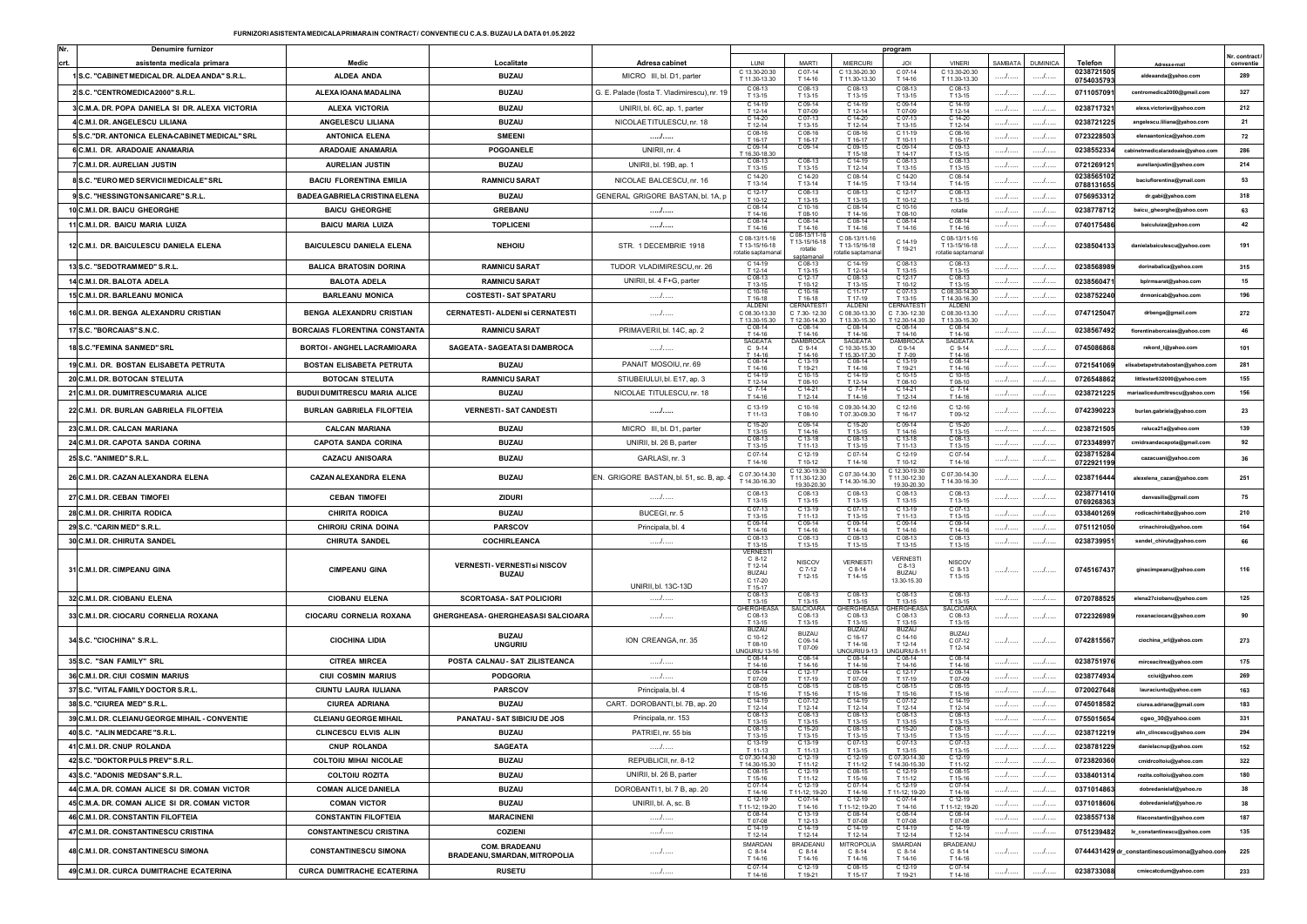| Denumire furnizo                                |                                     |                                                       |                                              |                                                       |                                        |                                          | program                                    |                                         |                  |        |                          |                                             | Vr. contrac |
|-------------------------------------------------|-------------------------------------|-------------------------------------------------------|----------------------------------------------|-------------------------------------------------------|----------------------------------------|------------------------------------------|--------------------------------------------|-----------------------------------------|------------------|--------|--------------------------|---------------------------------------------|-------------|
| asistenta medicala primara                      | Medic                               | Localitate                                            | Adresa cabinet                               | <b>I UN</b>                                           | <b>MARTI</b>                           | <b>MIERCUR</b>                           |                                            | <b>VINERI</b>                           | SAMBATA DUMINICA |        | Telefon                  | Adresa e-mail                               | conventie   |
| 1S.C. "CABINET MEDICAL DR. ALDEA ANDA" S.R.L.   | <b>ALDEA ANDA</b>                   | <b>BUZAU</b>                                          | MICRO III, bl. D1, parter                    | C 13.30-20.30<br>T 11.30-13.30                        | C 07-14<br>T 14-16                     | C 13.30-20.30<br>T 11.30-13.30           | C 07-14<br>T 14-16                         | C 13.30-20.30<br>T 11.30-13.30          |                  | /      | 0238721505<br>0754035793 | aldeaanda@yahoo.com                         | 289         |
| 2 S.C. "CENTROMEDICA2000" S.R.L.                | ALEXA IOANA MADALINA                | <b>BUZAU</b>                                          | G. E. Palade (fosta T. Vladimirescu), nr. 19 | C 08-13<br>T 13-15                                    | C 08-13<br>T 13-15                     | C 08-13<br>T 13-15                       | C 08-13<br>T 13-15                         | C 08-13<br>T 13-15                      | $\ldots$         | .      | 0711057091               | centromedica2000@gmail.com                  | 327         |
| 3 C.M.A. DR. POPA DANIELA SI DR. ALEXA VICTORIA | <b>ALEXA VICTORIA</b>               | <b>BUZAU</b>                                          | UNIRII, bl. 6C, ap. 1, parter                | C 14-19<br>T 12-14                                    | C 09-14<br>T 07-09                     | C 14-19<br>T 12-14                       | C 09-14<br>T 07-09                         | C 14-19<br>T 12-14                      | /                | /      | 0238717321               | alexa.victoriav@yahoo.com                   | 212         |
| 4 C.M.I. DR. ANGELESCU LILIANA                  | ANGELESCU LILIANA                   | <b>BUZAU</b>                                          | NICOLAE TITULESCU, nr. 18                    | $C$ 14-20<br>T 12-14                                  | C 07-13<br>T 13-15                     | C 14-20<br>T 12-14                       | C 07-13<br>T 13-15                         | $C$ 14-20<br>T 12-14                    | .                | .      | 0238721225               | angelescu.liliana@yahoo.com                 | 21          |
| 5 S.C. "DR. ANTONICA ELENA-CABINET MEDICAL" SRL | <b>ANTONICA ELENA</b>               | <b>SMEENI</b>                                         | .                                            | $C$ 08-16<br>T 16-17                                  | C 08-16<br>T 16-17                     | C 08-16<br>T 16-17                       | C 11-19<br>T 10-11                         | $C$ 08-16<br>T 16-17                    | .                | .      | 0723228503               | elenaantonica@yahoo.com                     | 72          |
| 6 C.M.I. DR. ARADOAIE ANAMARIA                  | <b>ARADOAIE ANAMARIA</b>            | POGOANELE                                             | UNIRII, nr. 4                                | C 09-14<br>T 16.30-18.30                              | C 09-14                                | C 09-15<br>T 15-18                       | C 09-14<br>T 14-17                         | C 09-13<br>T 13-15                      | /                | .      | 0238552334               | abinetmedicalaradoaie@yahoo.com             | 286         |
| 7 C.M.I. DR. AURELIAN JUSTIN                    | <b>AURELIAN JUSTIN</b>              | <b>BUZAU</b>                                          | UNIRII, bl. 19B, ap. 1                       | $C.08-13$<br>T 13-15                                  | C 08-13<br>T 13-15                     | $C.14-19$<br>T 12-14                     | C 08-13<br>T 13-15                         | $C.08-13$<br>T 13-15                    |                  | .      | 0721269121               | aurelianjustin@yahoo.com                    | 214         |
| 8 S.C. "EURO MED SERVICII MEDICALE" SRL         | <b>BACIU FLORENTINA EMILIA</b>      | <b>RAMNICU SARAT</b>                                  | NICOLAE BALCESCU, nr. 16                     | C 14-20                                               | C 14-20                                | C 08-14                                  | C 14-20                                    | C 08-14                                 |                  | . /    | 0238565102               | baciuflorentina@ymail.com                   | 53          |
| 9 S.C. "HESSINGTON SANICARE" S.R.L.             | BADEA GABRIELA CRISTINA ELENA       | <b>BUZAU</b>                                          | GENERAL GRIGORE BASTAN, bl. 1A, p            | T 13-14<br>$C$ 12-17                                  | T 13-14<br>C 08-13                     | T 14-15<br>C 08-13                       | T 13-14<br>C 12-17                         | T 14-15<br>C 08-13                      | /                | /      | 0788131655<br>0756953312 | dr.gabi@yahoo.com                           | 318         |
| 10 C.M.I. DR. BAICU GHEORGHE                    | <b>BAICU GHEORGHE</b>               | <b>GREBANU</b>                                        |                                              | T 10-12<br>C 08-14                                    | T 13-15<br>C 10-16                     | T 13-15<br>C 08-14                       | T 10-12<br>C 10-16                         | T 13-15<br>rotatie                      |                  | /      | 0238778712               | baicu_gheorghe@yahoo.com                    | 63          |
| 11 C.M.I. DR. BAICU MARIA LUIZA                 | <b>BAICU MARIA LUIZA</b>            | <b>TOPLICENI</b>                                      | <br>/                                        | T 14-16<br>$C.08-14$                                  | T 08-10<br>C 08-14                     | T 14-16<br>$C$ 08-14                     | T 08-10<br>C 08-14                         | C 08-14                                 | /                | .      | 0740175486               | baiculuiza@yahoo.com                        | 42          |
|                                                 |                                     |                                                       |                                              | T 14-16<br>C 08-13/11-16                              | T 14-16<br>C 08-13/11-16               | T 14-16<br>C 08-13/11-1                  | T 14-16                                    | T 14-16<br>C 08-13/11-16                |                  |        |                          |                                             |             |
| 12 C.M.I. DR. BAICULESCU DANIELA ELENA          | <b>BAICULESCU DANIELA ELENA</b>     | <b>NEHOIU</b>                                         | STR. 1 DECEMBRIE 1918                        | T 13-15/16-18<br>otatie saptamana                     | 13-15/16-18<br>rotatie                 | T 13-15/16-18<br>tatie saptamar          | C 14-19<br>T 19-21                         | T 13-15/16-18<br>otatie saptamana       |                  |        | 0238504133               | ielabaiculescu@yahoo.con                    | 191         |
| 13 S.C. "SEDOTRAMMED" S.R.L.                    | <b>BALICA BRATOSIN DORINA</b>       | <b>RAMNICU SARAT</b>                                  | TUDOR VLADIMIRESCU, nr. 26                   | $C.14-19$<br>T 12-14                                  | saptamana<br>C 08-13<br>T 13-15        | $C.14-19$<br>T 12-14                     | $C.08-13$<br>T 13-15                       | C 08-13<br>T 13-15                      | .                | .      | 0238568989               | dorinabalica@yahoo.com                      | 315         |
| 14 C.M.I. DR. BALOTA ADELA                      | <b>BALOTA ADELA</b>                 | <b>RAMNICU SARAT</b>                                  | UNIRII, bl. 4 F+G, parter                    | C 08-13<br>T 13-15                                    | T 10-12                                | T 13-15                                  | C 12-11<br>T 10-12                         | $C.08-13$<br>T 13-15                    | .                | .      | 0238560471               | bplrmsarat@yahoo.com                        | 15          |
| 15 C.M.I. DR. BARLEANU MONICA                   | <b>BARLEANU MONICA</b>              | <b>COSTESTI- SAT SPATARU</b>                          | .                                            | $C$ 10-16<br>T 16-18                                  | C 10-1<br>T 16-18                      | C 11-1<br>T 17.19                        | C 07-13<br>T 13.15                         | C 08.30-14.30<br>T 14.30-16.30          |                  | .      | 0238752240               | drmonicab@yahoo.com                         | 196         |
| 16 C.M.I. DR. BENGA ALEXANDRU CRISTIAN          | BENGA ALEXANDRU CRISTIAN            | <b>CERNATESTI- ALDENISI CERNATESTI</b>                | . /                                          | ALDENI<br>C 08.30-13.30                               | CERNATES<br>C 7.30-12.30               | <b>ALDEN</b><br>08.30-13.30              | CERNATES<br>C 7.30-12.30                   | <b>ALDENI</b><br>C 08.30-13.30          |                  | .      | 0747125047               | drbenga@gmail.com                           | 272         |
| 17 S.C. "BORCAIAS" S.N.C.                       | BORCAIAS FLORENTINA CONSTANTA       | <b>RAMNICU SARAT</b>                                  | PRIMAVERII, bl. 14C, ap. 2                   | T 13.30-15.30<br>T 14-16                              | 12.30-14.30<br>T 14-16                 | T 13.30-15.30<br>T 14-16                 | T 12.30-14.30<br>T 14-16                   | T 13.30-15.30<br>T 14-16                | .                |        | 0238567492               | florentinaborcaias@yahoo.com                | 46          |
| 18 S.C. "FEMINA SANMED" SRL                     | BORTOI - ANGHEL LACRAMIOARA         | SAGEATA - SAGEATA SI DAMBROCA                         | .                                            | <b>SAGEATA</b>                                        | <b>AMBROO</b><br>$C$ 9-14              | SAGEAT/                                  | <b>AMBROO</b>                              | SAGEATA<br>C 9-14                       | /                | .      | 0745086868               |                                             | 101         |
|                                                 |                                     |                                                       |                                              | $C$ 9-14<br>$14-16$<br>$C.08-14$                      | C 13-19                                | C 10.30-15.30<br>15 30 17 3<br>$C.08-14$ | C 9-14<br>$C.13-19$                        | $C.08-14$                               |                  |        |                          | rekord_l@yahoo.com                          |             |
| 19 C.M.I. DR. BOSTAN ELISABETA PETRUTA          | BOSTAN ELISABETA PETRUTA            | <b>BUZAU</b>                                          | PANAIT MOSOIU, nr. 69                        | T 14-16<br>$C.14-19$                                  | T 19-21<br>$C.10-15$                   | T 14-16<br>$C.14-19$                     | T 19-21<br>$C.10-15$                       | T 14-16<br>$C.10-15$                    | .                | .      | 0721541069               | elisabetapetrutabostan@yahoo.com            | 281         |
| 20 C.M.I. DR. BOTOCAN STELUTA                   | <b>BOTOCAN STELUTA</b>              | <b>RAMNICU SARAT</b>                                  | STIUBEIULUI, bl. E17, ap. 3                  | T 12-14<br>$C$ 7-14                                   | T 08-10                                | T 12-14<br>$C$ 7-14                      | T 08-10<br>C 14-21                         | T 08-10<br>$C$ 7-14                     |                  | .      | 0726548862               | littlestar632000@yahoo.com                  | 155         |
| 21 C.M.I. DR. DUMITRESCUMARIA ALICE             | <b>BUDUI DUMITRESCU MARIA ALICE</b> | <b>BUZAU</b>                                          | NICOLAE TITULESCU, nr. 18                    | T 14-16                                               | C 14-21<br>T 12-14                     | T 14-16                                  | T 12-14                                    | T 14-16                                 | /                | .      | 0238721225               | mariaalicedumitrescu@yahoo.com              | 156         |
| 22 C.M.I. DR. BURLAN GABRIELA FILOFTEIA         | <b>BURLAN GABRIELA FILOFTEIA</b>    | <b>VERNESTI-SAT CANDESTI</b>                          | /                                            | C 13-19<br>T 11-13                                    | C 10-16<br>T 08-10                     | C 09.30-14.30<br>T 07.30-09.3            | C 12-16<br>T 16-17                         | C 12-16<br>T 09-12                      |                  |        | 0742390223               | burlan.gabriela@yahoo.com                   | 23          |
| 23 C.M.I. DR. CALCAN MARIANA                    | <b>CALCAN MARIANA</b>               | <b>BUZAU</b>                                          | MICRO III, bl. D1, parter                    | C 15-20<br>T 13-15                                    | C 09-14<br>T 14-16                     | C 15-20<br>T 13-15                       | C 09-14<br>T 14-16                         | C 15-20<br>T 13-15                      | . /              |        | 0238721505               | raluca21a@yahoo.com                         | 139         |
| 24 C.M.I. DR. CAPOTA SANDA CORINA               | <b>CAPOTA SANDA CORINA</b>          | <b>BUZAU</b>                                          | UNIRII, bl. 26 B, parter                     | C 08-13<br>T 13-15                                    | C 13-18<br>T 11-13                     | C 08-13<br>T 13-15                       | C 13-18<br>T 11-13                         | $C08-13$<br>T 13-15                     | /                | /      | 0723348997               | cmidrsandacapota@gmail.com                  | 92          |
| 25 S.C. "ANIMED" S.R.L.                         | <b>CAZACU ANISOARA</b>              | <b>BUZAU</b>                                          | GARLASI, nr. 3                               | C 07-14<br>T 14-16                                    | C 12-19<br>T 10-12                     | C 07-14<br>T 14-16                       | C 12-19<br>T 10-12                         | C 07-14<br>T 14-16                      | /                | I      | 0238715284<br>0722921199 | cazacuani@yahoo.com                         | 36          |
| 26 C.M.I. DR. CAZAN ALEXANDRA ELENA             | CAZAN ALEXANDRA ELENA               | <b>BUZAU</b>                                          | EN. GRIGORE BASTAN, bl. 51, sc. B, ap.       | C 07.30-14.30                                         | 12.30-19.3<br>T11.30-12.30             | C 07.30-14.30                            | 12.30-19.3<br>T11.30-12.30                 | C 07.30-14.30                           |                  |        |                          |                                             | 251         |
|                                                 |                                     |                                                       |                                              | T 14.30-16.30                                         | 19.30-20.30                            | T 14.30-16.30                            | 19.30-20.3                                 | T 14.30-16.30                           |                  |        | 0238716444               | alexelena_cazan@yahoo.com                   |             |
| 27 C.M.I. DR. CEBAN TIMOFEI                     | <b>CEBAN TIMOFEI</b>                | <b>ZIDURI</b>                                         | /                                            | C 08-13<br>T 13-15                                    | C 08-13<br>T 13-15                     | C 08-13<br>T 13-15                       | C 08-13<br>T 13-15                         | C 08-13<br>T 13-15                      |                  |        | 0238771410<br>0769268363 | danvasilis@gmail.com                        | 75          |
| 28 C.M.I. DR. CHIRITA RODICA                    | <b>CHIRITA RODICA</b>               | <b>BUZAU</b>                                          | BUCEGI, nr. 5                                | $C 07-13$<br>T 13-15                                  | C 13-19<br>T 11-13                     | C 07-13<br>T 13-15                       | C 13-19<br>T 11-13                         | C 07-13<br>T 13-15                      | .                | .      | 0338401269               | rodicachiritabz@yahoo.com                   | 210         |
| 29 S.C. "CARIN MED" S.R.L.                      | CHIROIU CRINA DOINA                 | <b>PARSCOV</b>                                        | Principala, bl. 4                            | C 09-14<br>T 14-16                                    | C 09-14<br>T 14-16                     | C 09-14<br>T 14-16                       | C 09-14<br>T 14-16                         | C 09-14<br>T 14-16                      | .                | .      | 0751121050               | crinachiroiu@yahoo.com                      | 164         |
| 30 C.M.I. DR. CHIRUTA SANDEL                    | <b>CHIRUTA SANDEL</b>               | <b>COCHIRLEANCA</b>                                   | /                                            | C 08-13<br>T 13-15                                    | C 08-13<br>T 13-15                     | C 08-13<br>T 13-15                       | $C$ 08-13<br>T 13-15                       | C 08-13<br>T 13-15                      | /                | .      | 0238739951               | sandel_chiruta@yahoo.com                    | 66          |
| 31 C.M.I. DR. CIMPEANU GINA                     | <b>CIMPEANU GINA</b>                | <b>VERNESTI- VERNESTI SI NISCOV</b><br><b>BUZAU</b>   |                                              | <b>VERNEST</b><br>$C.8-12$<br>T 12-14<br><b>BUZAU</b> | <b>NISCOV</b><br>$C$ 7-12<br>T 12-15   | <b>VERNEST</b><br>$C$ 8-14<br>T 14-15    | <b>VERNEST</b><br>$C.8-13$<br><b>BUZAU</b> | <b>NISCOV</b><br>$C_8-13$<br>T 13-15    | /                | . /    | 0745167437               | ginacimpeanu@yahoo.com                      | 116         |
|                                                 |                                     |                                                       | UNIRII, bl. 13C-13D                          | C 17-20<br>T 15.17                                    |                                        |                                          | 13.30-15.30                                |                                         |                  |        |                          |                                             |             |
| 32 C.M.I. DR. CIOBANU ELENA                     | <b>CIOBANU ELENA</b>                | SCORTOASA- SAT POLICIORI                              | .                                            | C 08-13<br>T 13-15                                    | C 08-13<br>T 13-15                     | C 08-1<br>T 13-15                        | $C 08-13$<br>T 13-15                       | C 08-13<br>T 13-15                      | .                | .      | 0720788525               | elena27ciobanu@yahoo.com                    | 125         |
| 33 C.M.I. DR. CIOCARU CORNELIA ROXANA           | CIOCARU CORNELIA ROXANA             | GHERGHEASA- GHERGHEASASI SALCIOARA                    | /                                            | <b>GHERGHEA</b><br>C 08-13<br>T 13-15                 | <b>SALCIOARA</b><br>C 08-13<br>T 13-15 | <b>HERGHEAS</b><br>C 08-13<br>T 13-15    | HERGHEA<br>C 08-13<br>T 13-15              | <b>SALCIOARA</b><br>C 08-13<br>T 13-15  | /                |        | 0722326989               | roxanaciocaru@yahoo.com                     |             |
| 34 S.C. "CIOCHINA" S.R.L.                       | <b>CIOCHINA LIDIA</b>               | <b>BUZAU</b>                                          | ION CREANGA, nr. 35                          | <b>BUZAL</b><br>C 10-12                               | <b>BUZAU</b><br>C 09-14                | <b>BUZAL</b><br>C 16-17                  | <b>BUZAU</b><br>C 14-16                    | <b>BUZAU</b><br>$C.07-12$               |                  |        | 0742815567               | ciochina_srl@yahoo.com                      | 273         |
|                                                 |                                     | <b>UNGURIU</b>                                        |                                              | T 08-10<br>UNGURIU 13-1                               | T 07-09                                | T 14-16<br>JNGURIU 9-13                  | T 12-14<br>JNGURIU 8-1                     | T 12-14                                 |                  |        |                          |                                             |             |
| 35 S.C. "SAN FAMILY" SRL                        | <b>CITREA MIRCEA</b>                | POSTA CALNAU - SAT ZILISTEANCA                        | /                                            | C 08-14<br>T 14-16                                    | C 08-14<br>T 14-16                     | C 08-14<br>T 14-16                       | C 08-14<br>T 14-16                         | C 08-14<br>T 14-16                      |                  | . /    | 0238751976               | mirceacitrea@yahoo.com                      | 175         |
| 36 C.M.I. DR. CIUI COSMIN MARIUS                | <b>CIUI COSMIN MARIUS</b>           | <b>PODGORIA</b>                                       | .                                            | C 09-14<br>T 07-09                                    | C 12-17<br>T 17-19                     | C 09-14<br>T 07-09                       | C 12-17<br>T 17-19                         | C 09-14<br>T 07-09                      | .                | .      | 0238774934               | cciui@yahoo.com                             | 269         |
| 37 S.C. "VITAL FAMILY DOCTOR S.R.L              | CIUNTU LAURA IULIANA                | <b>PARSCOV</b>                                        | Principala, bl. 4                            | C 08-15<br>T 15-16                                    | C 08-15<br>T 15-16                     | C 08-15<br>T 15-16                       | C 08-15<br>T 15-16                         | C 08-15<br>T 15-16                      |                  | .      | 0720027648               | lauraciuntu@yahoo.com                       | 163         |
| 38 S.C. "CIUREA MED" S.R.L.                     | <b>CIUREA ADRIANA</b>               | <b>BUZAU</b>                                          | CART. DOROBANTI, bl. 7B, ap. 20              | $C.14-19$<br>T 12-14                                  | $C.07-12$<br>T 12-14                   | $C.14-19$<br>T 12-14                     | $C.07-12$<br>T 12-14                       | $C.14-19$<br>T 12-14                    | /                | .      | 0745018582               | ciurea.adriana@gmail.com                    | 183         |
| 39 C.M.I. DR. CLEIANU GEORGE MIHAIL - CONVENTIE | <b>CLEIANU GEORGE MIHAIL</b>        | PANATAU - SAT SIBICIU DE JOS                          | Principala, nr. 153                          | $C.08-13$<br>T 13-15                                  | : በ8-1:<br>T 13-15                     | C 08-1<br>T 13-15                        | C 08-13<br>T 13-15                         | C 08-13<br>T 13-15                      |                  | .      | 0755015654               | cgeo_30@yahoo.com                           | 331         |
| 40 S.C. "ALIN MEDCARE "S.R.L.                   | <b>CLINCESCU ELVIS ALIN</b>         | <b>BUZAU</b>                                          | PATRIEI, nr. 55 bis                          | $C.08-13$<br>T 13-15                                  | C 15-20<br>T 13-15                     | C 08-13<br>T 13-15                       | C 15-20<br>T 13-15                         | $C.08-13$<br>T 13-15                    |                  | .      | 0238712219               | alin_clincescu@yahoo.com                    | 294         |
| 41 C.M.I. DR. CNUP ROLANDA                      | <b>CNUP ROLANDA</b>                 | <b>SAGEATA</b>                                        | /                                            | C 13-19<br>T 11-13                                    | C 13-19<br>T 11-13                     | T 13-15                                  | C 07-1:<br>T 13-15                         | T 13-15                                 | . /              | . /    | 0238781229               | danielacnup@yahoo.com                       | 152         |
| 42 S.C. "DOKTOR PULS PREV" S.R.L.               | <b>COLTOIU MIHAI NICOLAE</b>        | <b>BUZAU</b>                                          | REPUBLICII, nr. 8-12                         | C 07.30-14.30<br>T 14.30-15.30                        | C 12-19<br>T 11.12                     | C 12-19<br>T 11-12                       | C 07.30-14.30<br>T 14.30-15.30             | C 12-19<br>T 11-12                      | 1                | $$     | 0723820360               | cmidrcoltoiu@yahoo.com                      | 322         |
| 43 S.C. "ADONIS MEDSAN" S.R.L.                  | <b>COLTOIU ROZITA</b>               | <b>BUZAU</b>                                          | UNIRII, bl. 26 B, parter                     | T 15-16                                               | T 11-12                                | $C08-1$<br>T 15-16                       | T 11.12                                    | C 08-15<br>T 15-16                      | $$               | .      | 0338401314               | rozita.coltoiu@yahoo.com                    | 180         |
| 44 C.M.A. DR. COMAN ALICE SI DR. COMAN VICTOR   | <b>COMAN ALICE DANIELA</b>          | <b>BUZAU</b>                                          | DOROBANTI1, bl. 7 B, ap. 20                  | C 07-14<br>T 14-16                                    | C 12-19<br>T 11-12; 19-20              | C07-14<br>T 14-16                        | C 12-19<br>T 11-12; 19-20                  | C 07-14<br>T 14-16                      | /                | $$ $/$ | 0371014863               | dobredanielaf@yahoo.ro                      | 38          |
| 45 C.M.A. DR. COMAN ALICE SI DR. COMAN VICTOR   | <b>COMAN VICTOR</b>                 | <b>BUZAU</b>                                          | UNIRII, bl. A, sc. B                         | C 12-19<br>T 11-12; 19-20                             | T 14-16                                | C 12-19<br>T 11-12; 19-20                | C 07-14<br>T 14-16                         | C 12-19<br>T 11-12; 19-20               | /                | . /    | 0371018606               | dobredanielaf@yahoo.ro                      | 38          |
| 46 C.M.I. DR. CONSTANTIN FILOFTEIA              | <b>CONSTANTIN FILOFTEIA</b>         | <b>MARACINENI</b>                                     | /                                            | C 08-14<br>T 07-08                                    | C 13-19<br>T 12-13                     | C 08-14<br>T 07-08                       | C 08-14<br>T 07-08                         | C 08-14<br>T 07-08                      | /                | /      | 0238557138               | filaconstantin@yahoo.com                    | 187         |
| 47 C.M.I. DR. CONSTANTINESCU CRISTINA           | <b>CONSTANTINESCU CRISTINA</b>      | <b>COZIENI</b>                                        | J                                            | C 14-19<br>T 12-14                                    | C 14-19<br>$T$ 12-14                   | C 14-19<br>T 12-14                       | C 14-19<br>T 12-14                         | C 14-19<br>$T$ 12-14                    | /                | . /    | 0751239482               | lv_constantinescu@yahoo.com                 | 135         |
| 48 C.M.I. DR. CONSTANTINESCU SIMONA             | <b>CONSTANTINESCU SIMONA</b>        | <b>COM. BRADEANU</b><br>BRADEANU, SMARDAN, MITROPOLIA | /                                            | SMARDAN<br>$C_8-14$<br>T 14-16                        | BRADEANU<br>$C.8-14$<br>T 14-16        | MITROPOLIA<br>$C_8$ -14<br>T 14-16       | SMARDAN<br>$C_8-14$<br>T 14-16             | <b>BRADEANU</b><br>$C_8$ -14<br>T 14-16 | /                |        |                          | 0744431429 dr_constantinescusimona@yahoo.co | 225         |
| 49 C.M.I. DR. CURCA DUMITRACHE ECATERINA        | <b>CURCA DUMITRACHE ECATERINA</b>   | <b>RUSETU</b>                                         | /                                            | C 07-14                                               | C 12-19                                | C 08-15                                  | C 12-19                                    | C 07-14                                 | /                | .      | 0238733088               | cmiecatcdum@yahoo.com                       | 233         |
|                                                 |                                     |                                                       |                                              | T 14-16                                               | T 19-21                                | T 15-17                                  | T 19-21                                    | T 14-16                                 |                  |        |                          |                                             |             |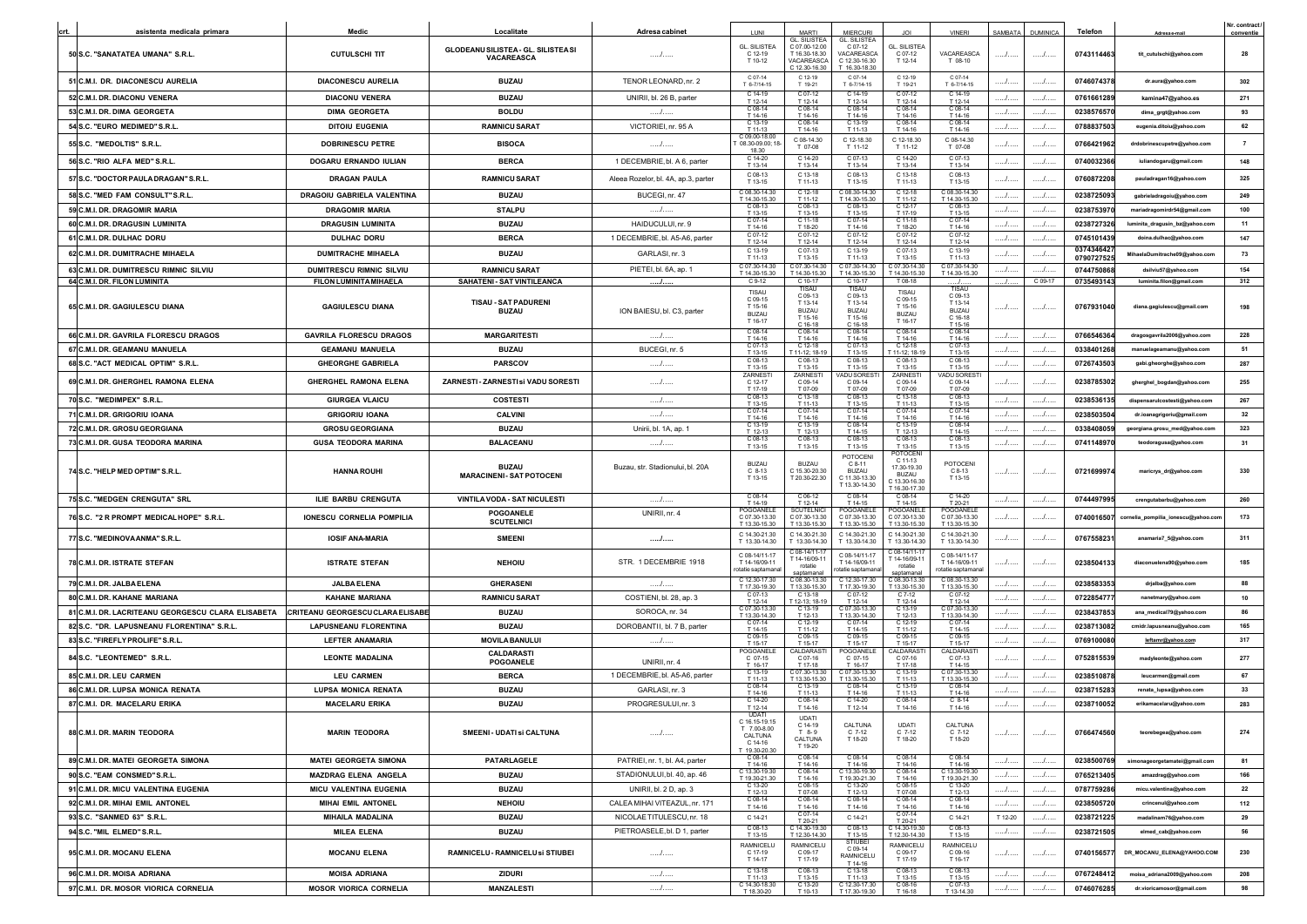|                                                                                    |                                                           |                                                    |                                                       |                                                                              |                                                          |                                                                 |                                                                                  |                                                    |               |                  |                          |                                                          | Nr. contract          |
|------------------------------------------------------------------------------------|-----------------------------------------------------------|----------------------------------------------------|-------------------------------------------------------|------------------------------------------------------------------------------|----------------------------------------------------------|-----------------------------------------------------------------|----------------------------------------------------------------------------------|----------------------------------------------------|---------------|------------------|--------------------------|----------------------------------------------------------|-----------------------|
| asistenta medicala primara<br>crt                                                  | Medic                                                     | Localitate                                         | Adresa cabinet                                        | LUNI                                                                         | <b>MARTI</b><br>L. SILISTEA                              | <b>MIERCURI</b><br><b>GL. SILISTEA</b>                          |                                                                                  | <b>VINERI</b>                                      |               | SAMBATA DUMINICA | <b>Telefon</b>           | Adresa e-mai                                             | conventie             |
| 50 S.C. "SANATATEA UMANA" S.R.L.                                                   | <b>CUTULSCHI TIT</b>                                      | GLODEANU SILISTEA - GL. SILISTEASI<br>VACAREASCA   | .                                                     | <b>GL. SILISTEA</b><br>C 12-19<br>T 10-12                                    | C 07.00-12.00<br>T 16.30-18.30<br>VACAREASCA             | C 07-12<br>VACAREASCA<br>C 12.30-16.30                          | <b>GL. SILISTEA</b><br>C 07-12<br>T 12-14                                        | VACAREASCA<br>T 08-10                              |               | . /              | 0743114463               | tit_cutulschi@yahoo.com                                  | 28                    |
| 51 C.M.I. DR. DIACONESCU AURELIA                                                   | DIACONESCU AURELIA                                        | <b>BUZAU</b>                                       | TENOR LEONARD, nr. 2                                  | C 07-14<br>T 6-7/14-15                                                       | 2 12.30-16.30<br>$C$ 12-19<br>T 19-21                    | $16.30 - 18.30$<br>$C.07-14$<br>T 6-7/14-15                     | C 12-19<br>T 19-21                                                               | C 07-14<br>T 6-7/14-15                             |               |                  | 0746074378               | dr.aura@yahoo.com                                        | 302                   |
| 52 C.M.I. DR. DIACONU VENERA                                                       | <b>DIACONU VENERA</b>                                     | <b>BUZAU</b>                                       | UNIRII, bl. 26 B, parter                              | $C.14-19$<br>T 12-14                                                         | $C.07-12$<br>T 12-14                                     | $C.14-19$<br>T 12-14                                            | $C.07-12$<br>T 12-14                                                             | $C.14-19$<br>T 12-14                               | $\ldots$      | . /              | 0761661289               | kamina47@yahoo.es                                        | 271                   |
| 53 C.M.I. DR. DIMA GEORGETA                                                        | <b>DIMA GEORGETA</b>                                      | <b>BOLDU</b>                                       | .                                                     | $C$ 08-14<br>T 14-16                                                         | C 08-14<br>T 14-16                                       | C 08-14<br>T 14-16                                              | C 08-14<br>T 14-16                                                               | C 08-14<br>T 14-16                                 | . /           | . /              | 023857657                | dima_grgt@yahoo.com                                      | 93                    |
| 54 S.C. "EURO MEDIMED" S.R.L.                                                      | <b>DITOIU EUGENIA</b>                                     | <b>RAMNICU SARAT</b>                               | VICTORIEI, nr. 95 A                                   | C 13-1<br>T 11.13                                                            | C 08-14<br>T 14-16                                       | C 13-19                                                         | C 08-14                                                                          | C 08-14                                            | $\mathcal{L}$ | . 1. .           | 0788837503               | eugenia.ditoiu@yahoo.com                                 | 62                    |
|                                                                                    |                                                           |                                                    |                                                       | $209.00 - 18.0$                                                              | C 08-14.30                                               | T 11-13<br>C 12-18.30                                           | T 14-16<br>C 12-18.30                                                            | T 14-16<br>C 08-14.30                              |               |                  |                          |                                                          |                       |
| 55 S.C. "MEDOLTIS" S.R.L<br>56 S.C. "RIO ALFA MED" S.R.L                           | <b>DOBRINESCU PETRE</b><br><b>DOGARU ERNANDO IULIAN</b>   | <b>BISOCA</b><br><b>BERCA</b>                      | .<br>1 DECEMBRIE, bl. A 6, parter                     | $08.30 - 09.00; 1$<br>C 14-20                                                | T 07-08<br>C 14-20                                       | T 11-12<br>C 07-13                                              | T 11-12<br>C 14-20                                                               | T 07-08<br>C 07-13                                 | . /           | .<br>.           | 0766421962<br>0740032366 | nescupetre@yahoo.com<br>iuliandogaru@gmail.com           | $\overline{7}$<br>148 |
|                                                                                    |                                                           |                                                    |                                                       | T 13-14<br>C 08-13                                                           | T 13-14<br>C 13-18                                       | T 13-14<br>C 08-13                                              | T 13-14<br>C 13-18                                                               | T 13-14<br>C 08-13                                 |               |                  |                          |                                                          |                       |
| 57 S.C. "DOCTOR PAULA DRAGAN" S.R.L<br>58 S.C. "MED FAM CONSULT"S.R.L.             | DRAGAN PAULA<br>DRAGOIU GABRIELA VALENTINA                | <b>RAMNICU SARAT</b><br><b>BUZAU</b>               | Aleea Rozelor, bl. 4A, ap.3, parter<br>BUCEGI, nr. 47 | T 13-15<br>208.30-14.3<br>T 14 30-15 30                                      | T 11-13<br>C 12-18<br>T 11-12                            | T 13-15<br>208.30-14 30<br>T 14 30-15 30                        | T 11-13<br>C 12-18<br>T 11-12                                                    | T 13-15<br>C 08.30-14.30                           | I<br>. /      | . /<br>. /       | 0760872208<br>0238725093 | pauladragan16@yahoo.com<br>gabrieladragoju@vahoo.com     | 325<br>249            |
| 59 C.M.I. DR. DRAGOMIR MARIA                                                       | <b>DRAGOMIR MARIA</b>                                     | <b>STALPU</b>                                      | 1                                                     | $C$ 08-1                                                                     | C 08-13                                                  | C 08-13                                                         | C 12-17                                                                          | T 14.30-15.30<br>C 08-13                           | .             | . /              | 023875397                | mariadragomirdr54@gmail.com                              | 100                   |
| 60 C.M.I. DR. DRAGUSIN LUMINITA                                                    |                                                           | <b>BUZAU</b>                                       |                                                       | T 13-15                                                                      | T 13.15                                                  | T 13-15                                                         | T 17.19                                                                          | T 13-15<br>$C.07-14$                               |               | .                |                          |                                                          | 11                    |
| 61 C.M.I. DR. DULHAC DORU                                                          | <b>DRAGUSIN LUMINITA</b><br><b>DULHAC DORU</b>            | <b>BERCA</b>                                       | HAIDUCULUI, nr. 9<br>1 DECEMBRIE, bl. A5-A6, parter   | T 14-16<br>C 07-1                                                            | T 18-20                                                  | T 14-16                                                         | T 18-20                                                                          | T 14-16<br>C 07-12                                 |               | . /              | 0238727326<br>0745101439 | luminita_dragusin_bz@yahoo.com                           | 147                   |
|                                                                                    |                                                           |                                                    |                                                       | T 12-14<br>C 13-19                                                           | T 12-14<br>$C.07-13$                                     | T 12-14<br>C 13-19                                              | T 12-14<br>C 07-13                                                               | T 12-14<br>C 13-19                                 | I             |                  | 037434642                | doina.dulhac@yahoo.com                                   |                       |
| 62 C.M.I. DR. DUMITRACHE MIHAELA                                                   | <b>DUMITRACHE MIHAELA</b>                                 | <b>BUZAU</b>                                       | GARLASI, nr. 3                                        | T 11-13<br>C 07.30-14.30                                                     | T 13-15<br>C 07 30-14 30                                 | T 11-13<br>C 07 30-14 30                                        | T 13-15<br>$20730-1430$                                                          | T 11-13<br>C 07.30-14.30                           | I             | . /              | 0790727525               | MihaelaDumitrache09@yahoo.com                            | 73                    |
| 63 C.M.I. DR. DUMITRESCU RIMNIC SILVIU<br>64 C.M.I. DR. FILON LUMINITA             | <b>DUMITRESCU RIMNIC SILVIU</b><br>FILON LUMINITA MIHAELA | <b>RAMNICU SARAT</b><br>SAHATENI - SAT VINTILEANCA | PIETEI, bl. 6A, ap. 1                                 | T 14.30-15.3<br>$C$ 9-12                                                     | T 14.30-15.30<br>$C$ 10-17                               | T 14.30-15.30<br>C 10-17                                        | T 14.30-15.3<br>T 08-18                                                          | T 14.30-15.30                                      | . /           | . /<br>C 09-17   | 074475086<br>0735493143  | dsilviu57@yahoo.com<br>luminita.filon@gmail.com          | 154<br>312            |
|                                                                                    |                                                           |                                                    | .                                                     | TISAU                                                                        |                                                          |                                                                 | TISAU                                                                            | TISAU                                              |               |                  |                          |                                                          |                       |
| 65 C.M.I. DR. GAGIULESCU DIANA                                                     | <b>GAGIULESCU DIANA</b>                                   | <b>TISAU - SAT PADURENI</b><br><b>BUZAU</b>        | ION BAIESU, bl. C3, parter                            | $C.09-15$<br>T 15-16<br><b>BUZAU</b><br>T 16-17                              | C 09-13<br>T 13-14<br><b>BUZAU</b><br>T 15-16            | C 09-13<br>T 13-14<br>BUZAU<br>T 15-16                          | C 09-15<br>T 15-16<br><b>BUZAU</b><br>T 16-17                                    | C 09-13<br>T 13-14<br><b>BUZAU</b><br>C 16-18      | . /           | . 1 .            | 0767931040               | diana.gagiulescu@gmail.com                               | 198                   |
| 66 C.M.I. DR. GAVRILA FLORESCU DRAGOS                                              | <b>GAVRILA FLORESCU DRAGOS</b>                            | <b>MARGARITESTI</b>                                | .                                                     | C 08-14                                                                      | C 16-18<br>C 08-14                                       | $216-18$<br>C 08-14                                             | C 08-14                                                                          | T 15-16<br>C 08-14                                 | .             | . /              | 0766546364               | dragosgavrila2006@vahoo.com                              | 228                   |
| 67 C.M.I. DR. GEAMANU MANUELA                                                      | <b>GEAMANU MANUELA</b>                                    | <b>BUZAU</b>                                       | BUCEGI, nr. 5                                         | T 14-16<br>$C 07-13$                                                         | T 14-16<br>C 12-18                                       | T 14-16<br>C 07-13                                              | T 14-16<br>$C$ 12-18                                                             | T 14-16<br>C 07-13                                 | . /           | . /              | 0338401268               | manuelageamanu@yahoo.com                                 | 51                    |
| 68 S.C. "ACT MEDICAL OPTIM" S.R.L.                                                 |                                                           |                                                    |                                                       | T 13-15<br>$C$ 08-1                                                          | 11-12 18-19                                              | T 13-15<br>208-13                                               | 11-12:18-19                                                                      | T 13-15<br>C 08-13                                 | $\ldots$      |                  |                          |                                                          | 287                   |
|                                                                                    | <b>GHEORGHE GABRIELA</b>                                  | <b>PARSCOV</b>                                     | .                                                     | T 13-15<br>ZARNEST                                                           | T 13-15<br>ZARNEST                                       | T 13.15<br>ADU SORES                                            | T 13-15<br>ZARNEST                                                               | T 13-15<br><b>VADU SOREST</b>                      |               | . /              | 0726743503               | gabi.gheorghe@yahoo.com                                  |                       |
| 69 C.M.I. DR. GHERGHEL RAMONA ELENA                                                | GHERGHEL RAMONA ELENA                                     | ZARNESTI - ZARNESTI si VADU SORESTI                | .                                                     | C 12-17<br>T 17-19                                                           | C 09-14<br>T 07-09                                       | C 09-14<br>T 07-09                                              | C 09-14<br>T 07-09                                                               | C 09-14<br>T 07-09                                 |               |                  | 0238785302               | gherghel_bogdan@yahoo.com                                | 255                   |
| 70 S.C. "MEDIMPEX" S.R.L.                                                          | <b>GIURGEA VLAICU</b>                                     | <b>COSTESTI</b>                                    | . /                                                   | C 08-13<br>T 13-15                                                           | C 13-18<br>T 11-13                                       | C 08-13<br>T 13-15                                              | C 13-18<br>T 11-13                                                               | C 08-13<br>T 13-15                                 | /             | . /              | 0238536135               | dispensarulcostesti@yahoo.com                            | 267                   |
| 71 C.M.I. DR. GRIGORIU IOANA                                                       | <b>GRIGORIU IOANA</b>                                     | <b>CALVINI</b>                                     | .                                                     | $C.07-1$<br>T 14-16                                                          | $C.07-14$<br>T 14-16                                     | C 07-14<br>T 14-16                                              | $C.07-14$<br>T 14-16                                                             | $C.07-14$<br>T 14-16                               | . /           | . /              | 023850350                | dr.ioanagrigoriu@gmail.com                               | 32                    |
| 72 C.M.I. DR. GROSU GEORGIANA                                                      | <b>GROSU GEORGIANA</b>                                    | <b>BUZAU</b>                                       | Unirii, bl. 1A, ap. 1                                 | $T$ 12-13                                                                    | C 13-19<br>T 12-13                                       | C 08-1<br>T 14-15                                               | T 12-13                                                                          | $C$ 08-14<br>T 14-15                               | .             | . /              | 0338408059               | georgiana.grosu_med@yahoo.com                            | 323                   |
| 73 C.M.I. DR. GUSA TEODORA MARINA                                                  | <b>GUSA TEODORA MARINA</b>                                | <b>BALACEANU</b>                                   | . /                                                   | T 13-15                                                                      | C 08-13<br>T 13-15                                       | C 08-13<br>T 13-15                                              | C 08-13<br>T 13-15                                                               | C 08-13<br>T 13-15                                 |               | $\ldots$         | 074114897                | teodoragusa@yahoo.com                                    | 31                    |
| 74 S.C. "HELP MED OPTIM" S.R.L.                                                    | <b>HANNA ROUHI</b>                                        | <b>BUZAU</b><br><b>MARACINENI- SAT POTOCENI</b>    | Buzau, str. Stadionului, bl. 20A                      | <b>BUZAU</b><br>$C.8-13$<br>T 13-15                                          | BUZAU<br>C 15 30-20 30<br>T 20.30-22.30                  | POTOCENI<br>$C.8-11$<br>BUZAU<br>C 11 30-13 30<br>T 13.30-14.30 | OTOCEN<br>$C$ 11-13<br>17.30-19.30<br><b>BUZAU</b><br>13.30-16.30<br>16.30-17.30 | <b>POTOCENI</b><br>$C.8-13$<br>T 13-15             | .             | .                | 072169997                | maricrys_dr@yahoo.com                                    | 330                   |
| 75 S.C. "MEDGEN CRENGUTA" SRL                                                      | ILIE BARBU CRENGUTA                                       | VINTILA VODA - SAT NICULESTI                       | . /                                                   | C 08-14<br>T 14-19                                                           | C 06-12<br>T 12-14                                       | C08-14<br>T 14-15                                               | C 08-14<br>T 14-15                                                               | C 14-20<br>T 20-21                                 | I             | .                | 0744497995               | crengutabarbu@yahoo.com                                  | 260                   |
| 76 S.C. "2 R PROMPT MEDICAL HOPE" S.R.L.                                           | <b>IONESCU CORNELIA POMPILIA</b>                          | POGOANELE<br><b>SCUTELNICI</b>                     | UNIRII, nr. 4                                         | POGOANELI<br>C 07.30-13.30<br>T 13.30-15.30                                  | <b>SCUTELNIC</b><br>C 07.30-13.30<br>T 13 30-15 30       | POGOANELI<br>C 07.30-13.30<br>T 13.30-15.30                     | POGOANELI<br>C 07.30-13.30<br>T 13 30-15 30                                      | POGOANELE<br>C 07.30-13.30<br>T 13.30-15.30        |               |                  | 0740016507               | cornelia_pompilia_ionescu@yahoo.con                      | 173                   |
| 77 S.C. "MEDINOVAANMA" S.R.L.                                                      | <b>IOSIF ANA-MARIA</b>                                    | <b>SMEENI</b>                                      |                                                       | C 14.30-21.30<br>T 13.30-14.30                                               | C 14.30-21.30<br>$13.30 - 14.30$                         | C 14.30-21.30<br>T 13.30-14.30                                  | C 14.30-21.30<br>13.30-14.30                                                     | C 14.30-21.30<br>T 13.30-14.30                     |               |                  | 076755823                | anamaria7_5@yahoo.com                                    | 311                   |
| 78 C.M.I. DR. ISTRATE STEFAN                                                       | <b>ISTRATE STEFAN</b>                                     | <b>NEHOIU</b>                                      | STR. 1 DECEMBRIE 1918                                 | C 08-14/11-17<br>T 14-16/09-11<br>otatie saptamar                            | $08 - 14/11 - 1$<br>14-16/09-11<br>rotatie<br>ntamana    | C 08-14/11-11<br>T 14-16/09-11<br>tatie saptamana               | $: 08 - 14/11 - 1$<br>T 14-16/09-11<br>rotatie                                   | C 08-14/11-17<br>T 14-16/09-11<br>otatie saptamana |               |                  | 0238504133               | diaconuelena90@yahoo.com                                 | 185                   |
| 79 C.M.I. DR. JALBA ELENA                                                          | <b>JALBA ELENA</b>                                        | <b>GHERASENI</b>                                   | .                                                     | C 12.30-17.30<br>T 17 30-19 30                                               | 2 08.30-13.30<br>13 30 15 30                             | C 12.30-17.30<br>T 17 30-19 30                                  | C 08.30-13.30<br>T 13 30-15 30                                                   | C 08.30-13.30<br>T 13.30-15.30                     | /             | . /              | 0238583353               | drjalba@yahoo.com                                        | 88                    |
| 80 C.M.I. DR. KAHANE MARIANA                                                       | <b>KAHANE MARIANA</b>                                     | <b>RAMNICU SARAT</b>                               | COSTIENI, bl. 28, ap. 3                               | $C.07-13$<br>T 12-14                                                         | $C.13-18$<br>$12 - 13 \cdot 18 - 19$                     | $0.07-12$<br>T 12-14                                            | $C.7-12$<br>T 12-14                                                              | $C.07-12$<br>T 12-14                               | /             | /                | 0722854777               | nanetmary@yahoo.com                                      | 10                    |
| 81 C.M.I. DR. LACRITEANU GEORGESCU CLARA ELISABETA CRITEANU GEORGESCUCLARA ELISABE |                                                           | <b>BUZAU</b>                                       | SOROCA, nr. 34                                        | C 07 30-13 30<br>T 13 30-14 30                                               | $C.13-19$<br>T 12-13                                     | C 07 30-13 30<br>T 13 30-14 30                                  | $C.13-19$<br>T 12-13                                                             | C 07 30-13 30<br>T 13.30-14.30                     | /             | .                | 0238437853               | ana_medical79@yahoo.com                                  | 86                    |
| 82 S.C. "DR. LAPUSNEANU FLORENTINA" S.R.L                                          |                                                           |                                                    |                                                       |                                                                              |                                                          | $C.07-14$                                                       | $C.12-19$                                                                        | $C.07-14$                                          | . /           | .                | 0238713082               | cmidr.lapusneanu@vahoo.com                               | 165                   |
| 83 S.C. "FIREFLY PROLIFE" S.R.L.                                                   | <b>LAPUSNEANU FLORENTINA</b>                              | <b>BUZAU</b>                                       | DOROBANTII, bl. 7 B, parter                           |                                                                              |                                                          |                                                                 |                                                                                  |                                                    |               |                  |                          |                                                          |                       |
|                                                                                    |                                                           | <b>MOVILA BANULUI</b>                              | .                                                     | T 14-15<br>C 09-15                                                           | T 11.12<br>C 09-1                                        | T 14-15<br>C 09-1                                               | T 11-12<br>C 09-15                                                               | T 14-15<br>C 09-15                                 | .             | . /              | 0769100080               | leftamr@yahoo.com                                        | 317                   |
| 84 S.C. "LEONTEMED" S.R.L.                                                         | LEFTER ANAMARIA<br><b>LEONTE MADALINA</b>                 | <b>CALDARASTI</b>                                  | UNIRII, nr. 4                                         | T 15-17<br>POGOANEL<br>C 07-15                                               | T 15.17<br><b>ALDARAS</b><br>C 07-16                     | T 15.17<br><b>OGOANEL</b><br>C 07-15                            | T 15.17<br>CALDARAS <sup>-</sup><br>C 07-16                                      | T 15-17<br>CALDARAST<br>C 07-13                    | .             | . /              | 0752815539               | madyleonte@yahoo.com                                     | 277                   |
|                                                                                    |                                                           | POGOANELE                                          |                                                       | T 16.17<br>C 13-19                                                           | T 17.18<br>07.30-13.3                                    | T 16.17<br>07.30-13.3                                           | T 17.18<br>C 13-19                                                               | T 14.15<br>207.30-13.30                            |               | .                |                          | leucarmen@gmail.com                                      |                       |
| 85 C.M.I. DR. LEU CARMEN                                                           | <b>LEU CARMEN</b>                                         | <b>BERCA</b>                                       | 1 DECEMBRIE, bl. A5-A6, parter                        | T 11-13<br>$C$ 08-14                                                         | 13.30-15.30<br>C 13-19                                   | 13.30-15.3<br>C 08-14                                           | T 11-13<br>C 13-19                                                               | T 13.30-15.30<br>C 08-14                           | I             |                  | 023851087                |                                                          | 67<br>33              |
| 86 C.M.I. DR. LUPSA MONICA RENATA                                                  | <b>LUPSA MONICA RENATA</b>                                | <b>BUZAU</b>                                       | GARLASI, nr. 3                                        | T 14-16<br>C 14-20                                                           | T 11-13<br>C 08-14                                       | T 14-16<br>C 14-20                                              | T 11-13<br>C 08-14                                                               | T 14-16<br>$C_8$ -14                               |               | . /<br>. /       | 0238715283               | renata_lupsa@yahoo.com                                   | 283                   |
| 87 C.M.I. DR. MACELARU ERIKA<br>88 C.M.I. DR. MARIN TEODORA                        | <b>MACELARU ERIKA</b><br><b>MARIN TEODORA</b>             | <b>BUZAU</b><br>SMEENI - UDATI si CALTUNA          | PROGRESULUI, nr. 3<br>/                               | T 12-14<br><b>UDAT</b><br>C 16.15-19.15<br>T 7.00-8.00<br>CALTUNA<br>C 14-16 | T 14-16<br><b>UDATI</b><br>C 14-19<br>$T$ 8-9<br>CALTUNA | T 12-14<br>CALTUNA<br>C 7-12<br>T 18-20                         | T 14-16<br><b>UDATI</b><br>$C$ 7-12<br>T 18-20                                   | T 14-16<br>CALTUNA<br>$C$ 7-12<br>T 18-20          | <br>.         | /                | 0238710052<br>0766474560 | erikamacelaru@yahoo.com<br>teorebegea@yahoo.com          | 274                   |
|                                                                                    | <b>MATEI GEORGETA SIMONA</b>                              |                                                    |                                                       | $19.30 - 20.3$                                                               | T 19-20<br>C 08-14                                       |                                                                 |                                                                                  |                                                    |               |                  | 0238500769               |                                                          |                       |
| 89 C.M.I. DR. MATEI GEORGETA SIMONA                                                |                                                           | PATARLAGELE                                        | PATRIEI, nr. 1, bl. A4, parter                        | C 08-14<br>T 14-16                                                           | T 14-16<br>$C08-14$                                      | $C$ 08-14<br>T 14-16<br>C 13.30-19.30                           | C 08-14<br>T 14-16                                                               | C 08-14<br>T 14-16<br>2 13.30-19.30                | .             | .                |                          | simonageorgetamatei@gmail.com                            | 81                    |
| 90 S.C. "EAM CONSMED" S.R.L.                                                       | <b>MAZDRAG ELENA ANGELA</b>                               | <b>BUZAU</b>                                       | STADIONULUI, bl. 40, ap. 46                           | C 13.30-19.30<br>T 19.30-21.30<br>C 13-20                                    | T 14-16<br>C 08-15                                       | T 19.30-21.30<br>C 13-20                                        | C 08-14<br>T 14-16<br>C 08-15                                                    | T 19.30-21.30<br>C 13-20                           | /             | .                | 0765213405               | amazdrag@yahoo.com                                       | 166                   |
| 91 C.M.I. DR. MICU VALENTINA EUGENIA                                               | <b>MICU VALENTINA EUGENIA</b>                             | <b>BUZAU</b>                                       | UNIRII, bl. 2 D, ap. 3                                | T 12-13<br>C 08-14                                                           | T 07-08<br>$C$ 08-14                                     | T 12-13<br>$C$ 08-1                                             | T 07-08<br>C 08-14                                                               | T 12-13<br>C 08-14                                 | .             | .                | 0787759286               | micu.valentina@yahoo.com                                 | 22                    |
| 92 C.M.I. DR. MIHAI EMIL ANTONEL                                                   | <b>MIHAI EMIL ANTONEL</b>                                 | <b>NEHOIU</b>                                      | CALEA MIHAI VITEAZUL, nr. 171                         | T 14-16                                                                      | T 14-16                                                  | T 14-16                                                         | T 14-16<br>C 07-14                                                               | T 14-16                                            | .             | /                | 0238505720               | crincenul@yahoo.com                                      | 112                   |
| 93 S.C. "SANMED 63" S.R.L.                                                         | <b>MIHAILA MADALINA</b>                                   | <b>BUZAU</b>                                       | NICOLAE TITULESCU, nr. 18                             | C 14-21                                                                      | C 07-14<br>T 20-21                                       | C 14-21                                                         | T 20-21                                                                          | C 14-21                                            | T 12-20       | /                | 0238721225               | madalinam76@yahoo.com                                    | 29                    |
| 94 S.C. "MIL ELMED" S.R.L.<br>95 C.M.I. DR. MOCANU ELENA                           | <b>MILEA ELENA</b><br><b>MOCANU ELENA</b>                 | <b>BUZAU</b><br>RAMNICELU - RAMNICELU si STIUBEI   | PIETROASELE, bl. D 1, parter<br>/                     | C 08-13<br>T 13-15<br><b>RAMNICELU</b><br>$C.17-19$                          | C 14.30-19.30<br>T 12.30-14.30<br>RAMNICELU<br>C 09-17   | C 08-13<br>T 13-15<br><b>STIUBE</b><br>C 09-14                  | C 14.30-19.30<br>T 12.30-14.30<br>RAMNICELU<br>C 09-17                           | C 08-13<br>T 13-15<br>RAMNICELU<br>C 09-16         | .<br>.        | /<br>.           | 0238721505<br>0740156577 | elmed_cab@yahoo.com<br>DR_MOCANU_ELENA@YAHOO.COM         | 56<br>230             |
|                                                                                    |                                                           |                                                    |                                                       | T 14-17                                                                      | T 17-19                                                  | RAMNICELU<br>T 14-16<br>C 13-18                                 | T 17-19                                                                          | T 16-17                                            |               |                  |                          |                                                          |                       |
| 96 C.M.I. DR. MOISA ADRIANA<br>97 C.M.I. DR. MOSOR VIORICA CORNELIA                | <b>MOISA ADRIANA</b><br><b>MOSOR VIORICA CORNELIA</b>     | <b>ZIDURI</b><br><b>MANZALESTI</b>                 | /<br>/                                                | C 13-18<br>T 11-13<br>C 14.30-18.30<br>T 18.30-20                            | C 08-13<br>T 13-15<br>C 13-20<br>T 10-13                 | T 11-13<br>C 12.30-17.30<br>T 17.30-19.30                       | C 08-13<br>T 13-15<br>C08-16<br>T16-18                                           | C 08-13<br>T 13-15<br>$C$ 07-13<br>T 13-14.30      | .<br>. /      | /<br>.           | 0767248412<br>0746076285 | moisa_adriana2009@yahoo.com<br>dr.vioricamosor@gmail.com | 208<br>98             |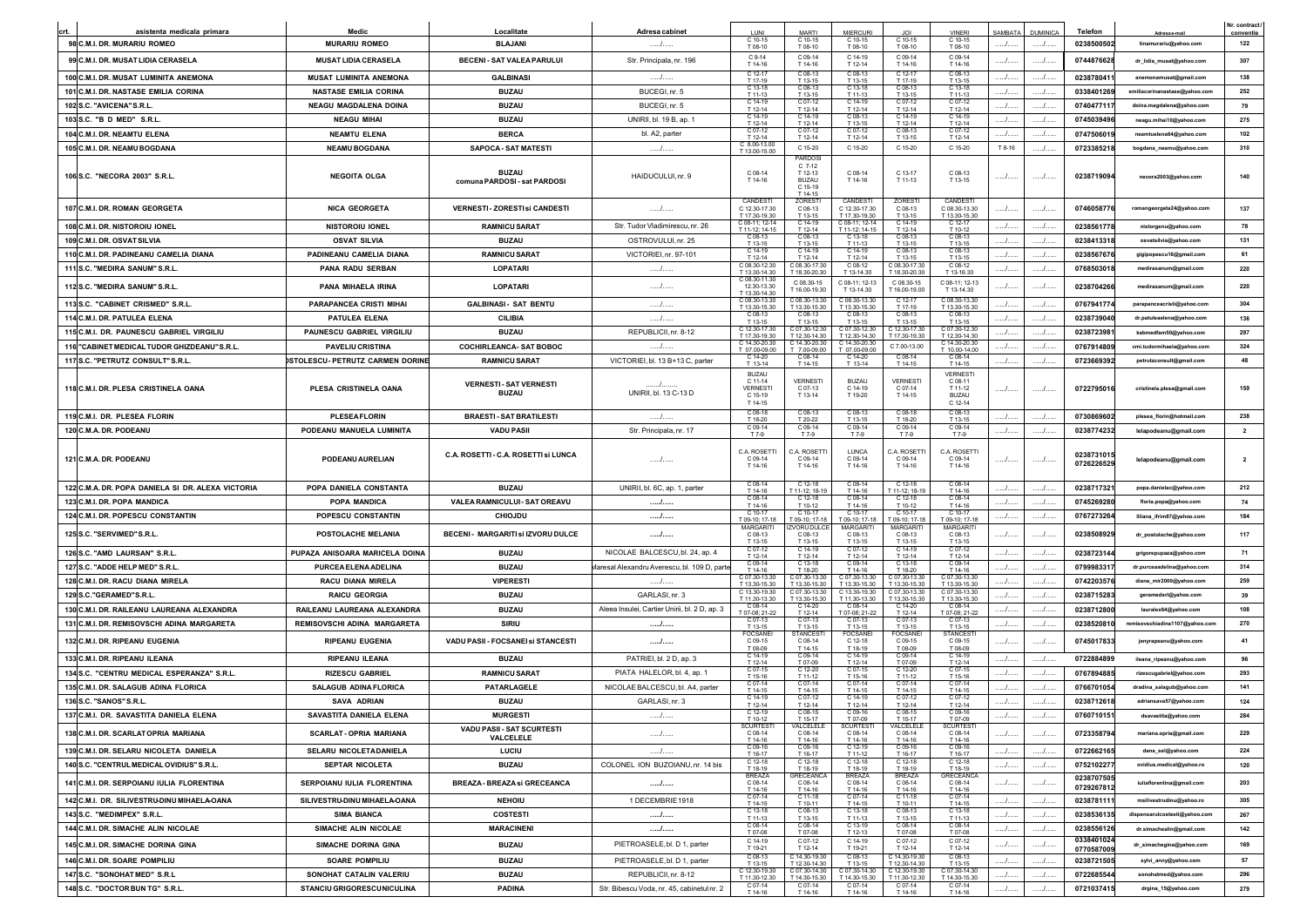|                                                           |                                                      |                                              |                                               |                                                     |                                                           |                                           |                                         |                                                       |                   |                      |                          |                                                       | Nr. contract     |
|-----------------------------------------------------------|------------------------------------------------------|----------------------------------------------|-----------------------------------------------|-----------------------------------------------------|-----------------------------------------------------------|-------------------------------------------|-----------------------------------------|-------------------------------------------------------|-------------------|----------------------|--------------------------|-------------------------------------------------------|------------------|
| asistenta medicala primara<br>98 C.M.I. DR. MURARIU ROMEO | Medic<br><b>MURARIU ROMEO</b>                        | Localitate<br><b>BLAJANI</b>                 | Adresa cabinet<br>.                           | C 10-15                                             | <b>MARTI</b><br>C 10-15                                   | <b>MIFRCURI</b>                           | C 10-15                                 | VINEE<br>$210 - 15$                                   | <b>AMBATA</b><br> | <b>DUMINICA</b><br>. | Telefor<br>0238500502    | Adresa e-mai<br>tinamurariu@yahoo.com                 | conventie<br>122 |
|                                                           |                                                      |                                              |                                               | T 08-10<br>C 9-14                                   | T 08-10<br>C 09-14                                        | T 08-10<br>C 14-19                        | T 08-10<br>C 09-14                      | T 08-10<br>C 09-14                                    |                   |                      |                          |                                                       |                  |
| 99 C.M.I. DR. MUSAT LIDIA CERASELA                        | <b>MUSAT LIDIA CERASELA</b>                          | BECENI - SAT VALEA PARULUI                   | Str. Principala, nr. 196                      | T 14-16<br>$C$ 12-17                                | T 14-16<br>C 08-13                                        | T 12-14<br>C08-13                         | T 14-16<br>$C$ 12-17                    | T 14-16<br>C 08-13                                    |                   |                      | 0744876628               | dr_lidia_musat@yahoo.com                              | 307              |
| 100 C.M.I. DR. MUSAT LUMINITA ANEMONA                     | <b>MUSAT LUMINITA ANEMONA</b>                        | <b>GALBINASI</b>                             | /                                             | T 17-19<br>C 13-18                                  | T 13-15<br>C 08-13                                        | T 13-15<br>C 13-18                        | T 17-19<br>C 08-13                      | T 13-15<br>C 13-18                                    |                   |                      | 0238780411               | anemonamusat@gmail.com                                | 138              |
| 101 C.M.I. DR. NASTASE EMILIA CORINA                      | <b>NASTASE EMILIA CORINA</b>                         | <b>BUZAU</b>                                 | BUCEGI, nr. 5                                 | T 11-13<br>$C.14-19$                                | T 13-15<br>$C.07-12$                                      | T 11-13<br>$C.14-19$                      | T 13-15<br>$C.07-12$                    | T 11-13<br>$C.07-12$                                  | .                 | .                    | 0338401269               | emiliacorinanastase@yahoo.com                         | 252              |
| 102 S.C. "AVICENA" S.R.L.                                 | <b>NEAGU MAGDALENA DOINA</b>                         | <b>BUZAU</b>                                 | BUCEGI, nr. 5                                 | T 12-14<br>C 14-19                                  | T 12-14<br>$C.14-19$                                      | T 12-14<br>C 08-13                        | T 12-14<br>ር 14-19                      | T 12-14<br>$C.14-19$                                  | /                 | .                    | 0740477117               | doina.magdalena@yahoo.com                             | 79               |
| 103 S.C. "B D MED" S.R.L.                                 | <b>NEAGU MIHAI</b>                                   | <b>BUZAU</b>                                 | UNIRII, bl. 19 B. ap. 1                       | T 12-14                                             | T 12-14                                                   | T 13-15<br>$C.07-12$                      | T 12-14<br>$C.08-13$                    | T 12-14<br>C 07-12                                    | /                 | .                    | 0745039496               | neagu.mihai10@yahoo.com                               | 275              |
| 104 C.M.I. DR. NEAMTU ELENA                               | <b>NEAMTU ELENA</b>                                  | <b>BERCA</b>                                 | bl. A2, parter                                | T 12-14<br>$C.8.00-13.0$                            | T 12-14                                                   | T 12-14                                   | T 13-15                                 | T 12-14                                               | .                 | .                    | 0747506019               | neamtuelena64@yahoo.com                               | 102              |
| 105 C.M.I. DR. NEAMU BOGDANA                              | <b>NEAMU BOGDANA</b>                                 | <b>SAPOCA - SAT MATESTI</b>                  | .                                             | T 13.00-15.00                                       | C 15-20<br><b>PARDOS</b>                                  | C 15-20                                   | C 15-20                                 | C 15-20                                               | T 8-16            | .                    | 0723385218               | bogdana neamu@yahoo.com                               | 310              |
| 106 S.C. "NECORA 2003" S.R.L.                             | <b>NEGOITA OLGA</b>                                  | <b>BUZAU</b><br>comuna PARDOSI - sat PARDOSI | HAIDUCULUI, nr. 9                             | C 08-14<br>T 14-16                                  | $C$ 7-12<br>T 12-13<br><b>BUZAU</b><br>C 15-19<br>T 14.15 | C 08-14<br>T 14-16                        | C 13-17<br>T 11-13                      | C 08-13<br>T 13-15                                    |                   |                      | 0238719094               | necora2003@vahoo.com                                  | 140              |
| 107 C.M.I. DR. ROMAN GEORGETA                             | <b>NICA GEORGETA</b>                                 | <b>VERNESTI-ZORESTISI CANDESTI</b>           | . /                                           | CANDEST<br>C 12.30-17.30<br>T 17.30-19.30           | ZORES<br>C 08-13<br>T 13-15                               | CANDEST<br>2 12.30-17.30<br>T 17.30-19.30 | <b>ZORES</b><br>C 08-13<br>T 13-15      | CANDES <sup>®</sup><br>C 08.30-13.30<br>T 13.30-15.30 |                   |                      | 0746058776               | romangeorgeta24@yahoo.com                             | 137              |
| 108 C.M.I. DR. NISTOROIU IONEL                            | <b>NISTOROIU IONEL</b>                               | <b>RAMNICU SARAT</b>                         | Str. Tudor Vladimirescu, nr. 26               | C 08-11: 12-14<br>T 11-12; 14-15                    | C 14-19<br>T 12-14                                        | 08-11: 12-14<br>11-12; 14-15              | C 14-19<br>T 12-14                      | C 12-17<br>T 10-12                                    |                   | . /                  | 0238561778               | nistorgenu@yahoo.com                                  | 78               |
| 109 C.M.I. DR. OSVAT SILVIA                               | <b>OSVAT SILVIA</b>                                  | <b>BUZAU</b>                                 | OSTROVULUI, nr. 25                            | C 08-13<br>T 13-15                                  | C 08-13<br>T 13-15                                        | $C.13-18$<br>T 11-13                      | C 08-13<br>T 13-15                      | C 08-13<br>T 13-15                                    | .                 | .                    | 0238413318               | osvatsilvia@yahoo.com                                 | 131              |
| 110 C.M.I. DR. PADINEANU CAMELIA DIANA                    | PADINEANU CAMELIA DIANA                              | <b>RAMNICU SARAT</b>                         | VICTORIEI, nr. 97-101                         | C 14-19<br>T 12-14                                  | C 14-19<br>T 12-14                                        | C 14-19<br>T 12-14                        | C 08-13<br>T 13-15                      | C 08-13<br>T 13-15                                    | .                 | . /                  | 0238567676               | gigipopescu16@gmail.com                               | 61               |
| 111 S.C. "MEDIRA SANUM" S.R.L.                            | PANA RADU SERBAN                                     | <b>LOPATARI</b>                              | .                                             | C 08.30-12.30<br>T 13 30-14 30                      | C 08.30-17.3<br>[18.30-20.3]                              | C.08-12<br>T 13-14 30                     | C 08.30-17.3<br>T 18.30-20.30           | C 08-12<br>T 13-16 30                                 | .                 | .                    | 0768503018               | medirasanum@gmail.com                                 | 220              |
| 112 S.C. "MEDIRA SANUM" S.R.L.                            | PANA MIHAELA IRINA                                   | LOPATARI                                     | .                                             | C 08 30-11 30<br>12 30-13 30<br>T 13 30-14 30       | C 08.30-15<br>16.00-19.30                                 | 08-11: 12-13<br>T 13-14.30                | C 08.30-15<br>T 16.00-19.00             | C 08-11: 12-13<br>T 13-14.30                          |                   | .                    | 0238704266               | medirasanum@gmail.com                                 | 220              |
| 113 S.C. "CABINET CRISMED" S.R.L.                         | PARAPANCEA CRISTI MIHAI                              | <b>GALBINASI- SAT BENTU</b>                  | /                                             | C 08.30-13.30<br>T 13.30-15.30                      | 08.30-13.3<br>13.30-15.30                                 | 08.30-13.3<br>T 13.30-15.30               | C 12-1<br>T 17.19                       | 08.30-13.30<br>T 13.30-15.30                          | .                 | .                    | 0767941774               | parapanceacristi@yahoo.com                            | 304              |
| 114 C.M.I. DR. PATULEA ELENA                              | <b>PATULEA ELENA</b>                                 | CILIBIA                                      | . /                                           | T 13.15                                             | T 13.15                                                   | T 13-15                                   | C 08-13<br>T 13.15                      | T 13-15                                               | $\cdot$ .         | . / .                | 0238739040               | dr.patuleaelena@vahoo.com                             | 136              |
| 115 C.M.I. DR. PAUNESCU GABRIEL VIRGILIU                  | PAUNESCU GABRIEL VIRGILIU                            | <b>BUZAU</b>                                 | REPUBLICII, nr. 8-12                          | C 12.30-17<br>T 17 30-19 30                         | $:07.30 - 12.3$<br>T 12 30-14 30                          | 07.30-12.<br>T 12.30-14.30                | 12.30-17<br>T 17.30-19.30               | 07.30-12.30<br>T 12.30-14.30                          |                   |                      | 0238723981               | kabmedfam50@yahoo.com                                 | 297              |
| 116 "CABINET MEDICAL TUDOR GHIZDEANU" S.R.L               | <b>PAVELIU CRISTINA</b>                              | COCHIRLEANCA- SAT BOBOC                      |                                               | C 14.30-20.30<br>T 07.00-09.00                      | 14.30-20.3<br>7.00-09.0                                   | 14.30-20.30<br>07.00-09.00                | C 7.00-13.00                            | 2 14.30-20.30<br>10.00-14.00                          | I                 |                      | 0767914809               | cmi.tudormihaela@yahoo.com                            | 324              |
| 117 S.C. "PETRUTZ CONSULT" S.R.L                          | <b>STOLESCU-PETRUTZ CARMEN DORINE</b>                | <b>RAMNICU SARAT</b>                         | VICTORIEI, bl. 13 B+13 C, parter              | C 14-20<br>T 13-14                                  | C 08-14<br>T 14-15                                        | C 14-20<br>T 13-14                        | C 08-14<br>T 14-15                      | $C$ 08-14<br>T 14-15                                  |                   | I.                   | 0723669392               | petrutzconsult@gmail.con                              | 48               |
|                                                           |                                                      |                                              |                                               | <b>BUZAU</b>                                        |                                                           |                                           |                                         | <b>VERNESTI</b>                                       |                   |                      |                          |                                                       |                  |
| 118 C.M.I. DR. PLESA CRISTINELA OANA                      | PLESA CRISTINELA OANA                                | <b>VERNESTI-SAT VERNESTI</b><br><b>BUZAU</b> | UNIRII, bl. 13 C-13 D                         | $C.11-14$<br><b>VERNEST</b><br>$C.15-19$<br>T 14-15 | <b>VERNESTI</b><br>$C.07-13$<br>T 13-14                   | BUZAU<br>$C.14-19$<br>T 19-20             | <b>VERNESTI</b><br>$C.07-14$<br>T 14-15 | C.08-11<br>T 11-12<br>BUZAU<br>$C.12-14$              | .                 | .                    | 0722795016               | cristinela.plesa@gmail.com                            | 159              |
| 119 C.M.I. DR. PLESEA FLORIN                              | <b>PLESEAFLORIN</b>                                  | <b>BRAESTI-SAT BRATILESTI</b>                | /                                             | C 08-18<br>T 18-20                                  | $C08-13$<br>T 20-22                                       | $C 08-1$<br>T 13-15                       | C 08-18<br>T 18-20                      | C 08-13<br>T 13-15                                    |                   | . / .                | 0730869602               | plesea_florin@hotmail.com                             | 238              |
| 120 C.M.A. DR. PODEANU                                    | PODEANU MANUELA LUMINITA                             | <b>VADU PASII</b>                            | Str. Principala, nr. 17                       | C 09-14<br>T 7-9                                    | C 09-14<br>T 7-9                                          | C 09-14<br>T 7-9                          | C 09-14<br>T 7-9                        | C 09-14<br>T 7-9                                      |                   | .                    | 0238774232               | lelapodeanu@gmail.com                                 | $\overline{2}$   |
| 121 C.M.A. DR. PODEANU                                    | PODEANU AURELIAN                                     | C.A. ROSETTI - C.A. ROSETTI SI LUNCA         | .                                             | C.A. ROSETT<br>C 09-14<br>T 14-16                   | C.A. ROSETT<br>C 09-14<br>T 14-16                         | <b>LUNCA</b><br>C 09-14<br>T 14-16        | C.A. ROSETT<br>C 09-14<br>T 14-16       | C.A. ROSETTI<br>C 09-14<br>T 14-16                    |                   | .                    | 0238731015<br>0726226529 | lelapodeanu@gmail.com                                 | $\overline{2}$   |
| 122 C.M.A. DR. POPA DANIELA SI DR. ALEXA VICTORIA         | POPA DANIELA CONSTANTA                               | <b>BUZAU</b>                                 | UNIRII, bl. 6C, ap. 1, parter                 | $C$ 08-1<br>T 14-16                                 | $C$ 12-1<br>T 11-12 18-1                                  | $C 08-1$<br>T 14.16                       | $C$ 12-18<br>11.12 18.10                | $208-1$<br>T 14-16                                    | /                 | .                    | 0238717321               | popa.danielac@yahoo.com                               | 212              |
| 123 C.M.I. DR. POPA MANDICA                               | <b>POPA MANDICA</b>                                  | VALEA RAMNICULUI - SAT OREAVU                | . /                                           | $C$ 08-14<br>T 14-16                                | T 10-12                                                   | C 08-14<br>T 14-16                        | T 10-12                                 | C 08-14<br>T 14-16                                    | $\mathcal{L}$     | . / .                | 0745269280               | floria.popa@yahoo.com                                 | 74               |
| 124 C.M.I. DR. POPESCU CONSTANTIN                         | POPESCU CONSTANTIN                                   | <b>CHIOJDU</b>                               | . /                                           | T 09-10:17-18                                       | $C.10-1$<br>$09-10:17-1$                                  | C 10-1<br>T 09-10: 17-18                  | T 09-10: 17-18                          | $C.10-17$<br>T 09-10: 17-18                           |                   | .                    | 0767273264               | liliana_ifrim87@yahoo.com                             | 184              |
| 125 S.C. "SERVIMED" S.R.L.                                | POSTOLACHE MELANIA                                   | BECENI - MARGARITI si IZVORU DULCE           |                                               | <b>MARGARIT</b><br>C 08-13<br>T 13-15               | <b>ZVORU DULC</b><br>C 08-13<br>T 13-15                   | <b>MARGARIT</b><br>C 08-13<br>T 13-15     | <b>MARGARI</b><br>C 08-13<br>T 13-15    | <b>MARGARIT</b><br>C 08-13<br>T 13-15                 |                   |                      | 0238508929               | dr_postolache@yahoo.com                               | 117              |
| 126 S.C. "AMD LAURSAN" S.R.L.                             | PUPAZA ANISOARA MARICELA DOINA                       | <b>BUZAU</b>                                 | NICOLAE BALCESCU, bl. 24, ap. 4               | C 07-12<br>T 12-14                                  | $C.14-19$<br>T 12-14                                      | $C.07-12$<br>T 12-14                      | $0.14 - 19$<br>T 12-14                  | $C.07-12$<br>T 12-14                                  | /                 | .                    | 0238723144               | grigorepupaza@yahoo.com                               | 71               |
| 127 S.C. "ADDE HELP MED" S.R.L.                           | PURCEA ELENA ADELINA                                 | <b>BUZAU</b>                                 | Aaresal Alexandru Averescu, bl. 109 D, parte  | C 09-14<br>T 14-16                                  | C 13-18<br>T 18-20                                        | C 09-14<br>T 14.16                        | C 13-18<br>T 18-20                      | C 09-14<br>T 14-16                                    | /                 | . /                  | 0799983317               | dr.purceaadelina@yahoo.com                            | 314              |
| 128 C.M.I. DR. RACU DIANA MIRELA                          | <b>RACU DIANA MIRELA</b>                             | <b>VIPERESTI</b>                             | .                                             | C 07.30-13.<br>T 13 30-15 30                        | C 07.30-13.3<br>T 13 30-15 30                             | 07.30-13.3<br>T 13 30-15 30               | 207.30-13<br>T 13 30-15 30              | 07.30-13.30<br>T 13.30-15.30                          |                   | .                    | 0742203576               | diana_mir2000@yahoo.com                               | 259              |
| 129 S.C."GERAMED"S.R.L.                                   | <b>RAICU GEORGIA</b>                                 | <b>BUZAU</b>                                 | GARLASI.nr. 3                                 | C 13.30-19.30<br>T 11 30-13 30                      | C 07.30-13.3<br>T 13 30-15 30                             | C 13.30-19.30<br>T 11 30-13 30            | C 07.30-13.30<br>T 13 30-15 30          | C 07.30-13.30<br>T 13 30-15 30                        |                   | .                    | 0238715283               | geramedsrl@yahoo.com                                  | 39               |
| 130 C.M.I. DR. RAILEANU LAUREANA ALEXANDRA                | RAILEANU LAUREANA ALEXANDRA                          | <b>BUZAU</b>                                 | Aleea Insulei, Cartier Unirii, bl. 2 D, ap. 3 | C 08-14<br>T 07-08; 21-22                           | $C$ 14-20<br>T 12-14                                      | $C 08-1$<br>T 07-08: 21-2                 | C 14-20<br>T 12-14                      | C 08-14<br>T 07-08: 21-22                             |                   | .                    | 0238712800               | lauralex64@yahoo.com                                  | 108              |
| 131 C.M.I. DR. REMISOVSCHI ADINA MARGARETA                | REMISOVSCHI ADINA MARGARETA                          | SIRIU                                        |                                               | C 07-13<br>T 13-15                                  | C 07-13<br>T 13-15                                        | $C 07-1$<br>T 13-15                       | C 07-13<br>T 13-15                      | $C$ 07-13<br>T 13-15                                  | .                 | . / .                | 0238520810               | remisovschiadina1107@yahoo.com                        | 270              |
| 132 C.M.I. DR. RIPEANU EUGENIA                            | <b>RIPEANU EUGENIA</b>                               | VADU PASII - FOCSANEI SI STANCESTI           |                                               | <b>FOCSAN</b><br>C 09-15                            | <b>STANCES</b><br>C 08-14                                 | <b>FOCSANE</b><br>$C$ 12-18               | <b>FOCSAN</b><br>C 09-15                | <b>STANCES</b><br>C 09-15                             |                   |                      | 0745017833               | jenyrapeanu@yahoo.com                                 | 41               |
| 133 C.M.I. DR. RIPEANU ILEANA                             | <b>RIPEANU ILEANA</b>                                | <b>BUZAU</b>                                 | PATRIEI, bl. 2 D, ap. 3                       | T 08-09<br>C 14-19                                  | T 14-15<br>C 09-14                                        | T 18-19<br>C 14-19                        | T 08-09<br>C 09-14                      | T 08-09<br>$C$ 14-19                                  | /                 | .                    | 0722884899               | ileana_ripeanu@yahoo.com                              | 96               |
| 134 S.C. "CENTRU MEDICAL ESPERANZA" S.R.L.                | <b>RIZESCU GABRIEL</b>                               | <b>RAMNICU SARAT</b>                         | PIATA HALELOR, bl. 4, ap. 1                   | T 12-14<br>C 07-15                                  | T 07-09<br>C 12-20<br>T 11-12                             | T 12-14<br>C 07-15                        | T 07-09<br>C 12-20<br>T 11-12           | T 12-14<br>C 07-15                                    |                   | /                    | 0767894885               | rizescugabriel@yahoo.com                              | 293              |
| 135 C.M.I. DR. SALAGUB ADINA FLORICA                      | <b>SALAGUB ADINA FLORICA</b>                         | <b>PATARLAGELE</b>                           | NICOLAE BALCESCU, bl. A4, parter              | T 15-16<br>$C.07-14$                                | C 07-14                                                   | T 15-16<br>$C.07-14$                      | C 07-14                                 | T 15-16<br>C 07-14                                    |                   |                      | 0766701054               | dradina_salagub@yahoo.com                             | 141              |
| 136 S.C. "SANOS" S.R.L.                                   | SAVA ADRIAN                                          | <b>BUZAU</b>                                 | GARLASI, nr. 3                                | T 14-15<br>$C.14-19$<br>T 12-14                     | T 14-15<br>$C.07-12$<br>T 12-14                           | T 14-15<br>$C.14-19$<br>T 12-14           | T 14-15<br>ር 07-12<br>T 12-14           | T 14-15<br>C 07-12<br>T 12-14                         | /                 | .                    | 0238712618               | adriansava57@yahoo.com                                | 124              |
| 137 C.M.I. DR. SAVASTITA DANIELA ELENA                    | SAVASTITA DANIELA ELENA                              | MURGESII                                     | . /                                           | $C.12-19$<br>T 10-12                                | C 08-15<br>T 15-17                                        | C 09-16<br>T 07-09                        | $C.08-15$<br>T 15-17                    | C 09-16                                               |                   |                      | 0760710151               | dsavastita@yahoo.com                                  | 284              |
| 138 C.M.I. DR. SCARLATOPRIA MARIANA                       | SCARLAT - OPRIA MARIANA                              | VADU PASII - SAT SCURTESTI                   |                                               | <b>SCURTEST</b><br>C 08-14                          | VALCELELE<br>C 08-14                                      | <b>SCURTESTI</b><br>C 08-14               | VALCELELE<br>C 08-14                    | <b>SCURTESTI</b><br>C 08-14                           | /                 | .                    | 0723358794               | mariana.opria@gmail.com                               | 229              |
|                                                           |                                                      | VALCELELE                                    | /                                             | T 14-16<br>$C$ 09-16                                | T 14-16<br>C 09-16                                        | T 14-16<br>C 12-1                         | T 14-16<br>C 09-16                      | T 14-16<br>$C$ 09-16                                  |                   |                      |                          |                                                       |                  |
| 139 C.M.I. DR. SELARU NICOLETA DANIELA                    | SELARU NICOLETADANIELA                               | <b>LUCIU</b>                                 | /                                             | T 16-17                                             | T 16.17                                                   | T 11-12                                   | T 16-17                                 | T 16-17                                               |                   | .                    | 0722662165               | dana_sel@yahoo.com                                    | 224              |
| 140 S.C. "CENTRUL MEDICAL OVIDIUS" S.R.L.                 | <b>SEPTAR NICOLETA</b><br>SERPOIANU IULIA FLORENTINA | <b>BUZAU</b><br>BREAZA - BREAZA si GRECEANCA | COLONEL ION BUZOIANU, nr. 14 bis              | T 18-19<br><b>BREAZA</b><br>C 08-14                 | T 18-19<br><b>SRECEANCA</b><br>C 08-14                    | T 18-19<br><b>BREAZA</b><br>C 08-14       | T 18-19<br><b>BREAZA</b><br>C 08-14     | T 18-19<br><b>GRECEANCA</b><br>C 08-14                | <i></i>           | .                    | 0752102277<br>0238707505 | ovidius.medical@yahoo.ro<br>iuliaflorentina@gmail.com | 120<br>203       |
| 141 C.M.I. DR. SERPOIANU IULIA FLORENTINA                 |                                                      |                                              |                                               | T 14-16<br>C 07-14                                  | T 14-16<br>C 11-18                                        | T 14-16<br>C 07-14                        | T 14-16<br>C 11-18                      | $T14-16$<br>C 07-14                                   |                   |                      | 0729267812               |                                                       |                  |
| 142 C.M.I. DR. SILIVESTRU-DINU MIHAELA-OANA               | SILIVESTRU-DINU MIHAELA-OANA                         | <b>NEHOIU</b>                                | 1 DECEMBRIE 1918                              | T 14-15<br>C 13-18                                  | T 10-11<br>C 08-13                                        | T 14-15<br>$C$ 13-18                      | T 10-11<br>C 08-13                      | $T$ 14-1<br>C 13-18                                   | I                 | .                    | 0238781111               | msilivestrudinu@yahoo.ro                              | 305              |
| 143 S.C. "MEDIMPEX" S.R.L.                                | <b>SIMA BIANCA</b>                                   | <b>COSTESTI</b>                              |                                               | T 11-13<br>C 08-14                                  | T 13-15                                                   | T 11-13                                   | T 13-15                                 | T 11-13                                               |                   | .                    | 0238536135               | dispensarulcostesti@yahoo.com                         | 267              |
| 144 C.M.I. DR. SIMACHE ALIN NICOLAE                       | SIMACHE ALIN NICOLAE                                 | <b>MARACINENI</b>                            |                                               | T 07-08                                             | C 08-14<br>T 07-08                                        | C 13-19<br>T 12-13                        | C 08-14<br>T 07-08                      | C 08-14<br>T 07-08                                    | /                 |                      | 0238556126               | dr.simachealin@gmail.com                              | 142              |
| 145 C.M.I. DR. SIMACHE DORINA GINA                        | SIMACHE DORINA GINA                                  | <b>BUZAU</b>                                 | PIETROASELE, bl. D 1, parter                  | C 14-19<br>T 19-21                                  | C 07-12<br>T 12-14                                        | C 14-19<br>T 19-21                        | C 07-12<br>T 12-14                      | C 07-12<br>T 12-14                                    | /                 | .                    | 0338401024<br>0770587009 | dr_simachegina@yahoo.com                              | 169              |
| 146 C.M.I. DR. SOARE POMPILIU                             | <b>SOARE POMPILIU</b>                                | <b>BUZAU</b>                                 | PIETROASELE, bl. D 1, parter                  | C 08-13<br>T 13.15                                  | 14.30-19.30<br>T 12.30-14.30                              | C 08-13<br>T 13-15                        | C 14.30-19.3<br>T 12.30-14.30           | C 08-13<br>T 13-15                                    | /                 |                      | 0238721505               | sylvi_anny@yahoo.com                                  | 57               |
| 147 S.C. "SONOHAT MED" S.R.L                              | SONOHAT CATALIN VALERIU                              | <b>BUZAU</b>                                 | REPUBLICII, nr. 8-12                          | C 12.30-19.30<br>T 11.30-12.30                      | C 07.30-14.30<br>T 14.30-15.30                            | C 07.30-14.30<br>T 14.30-15.30            | C 12.30-19.30<br>T 11.30-12.30          | C 07.30-14.30<br>T 14.30-15.30                        | I                 | /                    | 0722685544               | sonohatmed@yahoo.com                                  | 296              |
| 148 S.C. "DOCTOR BUN TG" S.R.L.                           | STANCIU GRIGORESCU NICULINA                          | <b>PADINA</b>                                | Str. Bibescu Voda, nr. 45, cabinetul nr. 2    | C 07-14<br>T 14-16                                  | $C$ 07-14<br>T 14-16                                      | C 07-14<br>T 14-16                        | C 07-14<br>T 14-16                      | C 07-14<br>T 14-16                                    | . /               | .                    | 0721037415               | drgina_15@yahoo.com                                   | 279              |